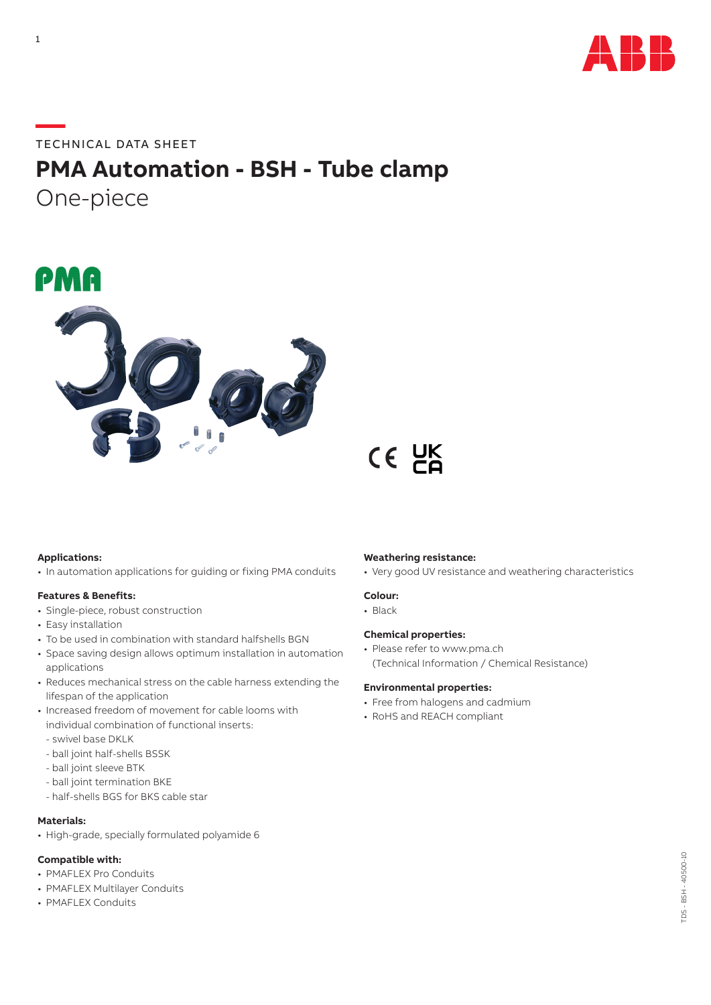

### **—**TECHNICAL DATA SHEET

### **PMA Automation - BSH - Tube clamp** One-piece

## PMA



# $CE$   $CE$

#### **Applications:**

• In automation applications for guiding or fixing PMA conduits

#### **Features & Benefits:**

- Single-piece, robust construction
- Easy installation
- To be used in combination with standard halfshells BGN
- Space saving design allows optimum installation in automation applications
- Reduces mechanical stress on the cable harness extending the lifespan of the application
- Increased freedom of movement for cable looms with individual combination of functional inserts:
	- swivel base DKLK
	- ball joint half-shells BSSK
	- ball joint sleeve BTK
	- ball joint termination BKE
	- half-shells BGS for BKS cable star

#### **Materials:**

• High-grade, specially formulated polyamide 6

#### **Compatible with:**

- PMAFLEX Pro Conduits
- PMAFLEX Multilayer Conduits
- PMAFLEX Conduits

#### **Weathering resistance:**

• Very good UV resistance and weathering characteristics

#### **Colour:**

• Black

#### **Chemical properties:**

• Please refer to www.pma.ch (Technical Information / Chemical Resistance)

#### **Environmental properties:**

- Free from halogens and cadmium
- RoHS and REACH compliant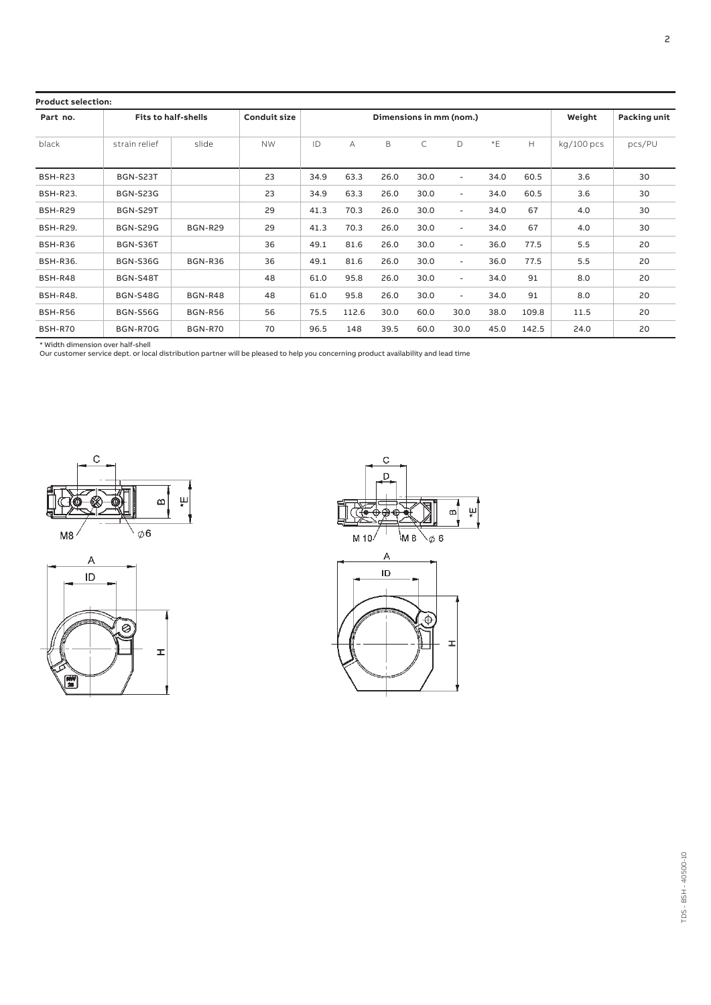| <b>Product selection:</b> |                            |                |                     |                         |       |      |      |                          |        |              |            |        |
|---------------------------|----------------------------|----------------|---------------------|-------------------------|-------|------|------|--------------------------|--------|--------------|------------|--------|
| Part no.                  | <b>Fits to half-shells</b> |                | <b>Conduit size</b> | Dimensions in mm (nom.) |       |      |      |                          | Weight | Packing unit |            |        |
| black                     | strain relief              | slide          | <b>NW</b>           | ID                      | A     | B    | C    | D                        | $E^*E$ | H            | kg/100 pcs | pcs/PU |
| <b>BSH-R23</b>            | BGN-S23T                   |                | 23                  | 34.9                    | 63.3  | 26.0 | 30.0 | $\sim$                   | 34.0   | 60.5         | 3.6        | 30     |
| <b>BSH-R23.</b>           | <b>BGN-S23G</b>            |                | 23                  | 34.9                    | 63.3  | 26.0 | 30.0 | ٠                        | 34.0   | 60.5         | 3.6        | 30     |
| <b>BSH-R29</b>            | BGN-S29T                   |                | 29                  | 41.3                    | 70.3  | 26.0 | 30.0 | $\overline{\phantom{a}}$ | 34.0   | 67           | 4.0        | 30     |
| <b>BSH-R29.</b>           | <b>BGN-S29G</b>            | <b>BGN-R29</b> | 29                  | 41.3                    | 70.3  | 26.0 | 30.0 | $\sim$                   | 34.0   | 67           | 4.0        | 30     |
| <b>BSH-R36</b>            | BGN-S36T                   |                | 36                  | 49.1                    | 81.6  | 26.0 | 30.0 | ٠                        | 36.0   | 77.5         | 5.5        | 20     |
| <b>BSH-R36.</b>           | <b>BGN-S36G</b>            | <b>BGN-R36</b> | 36                  | 49.1                    | 81.6  | 26.0 | 30.0 | $\sim$                   | 36.0   | 77.5         | 5.5        | 20     |
| <b>BSH-R48</b>            | BGN-S48T                   |                | 48                  | 61.0                    | 95.8  | 26.0 | 30.0 | $\sim$                   | 34.0   | 91           | 8.0        | 20     |
| <b>BSH-R48.</b>           | <b>BGN-S48G</b>            | <b>BGN-R48</b> | 48                  | 61.0                    | 95.8  | 26.0 | 30.0 | ۰                        | 34.0   | 91           | 8.0        | 20     |
| <b>BSH-R56</b>            | <b>BGN-S56G</b>            | <b>BGN-R56</b> | 56                  | 75.5                    | 112.6 | 30.0 | 60.0 | 30.0                     | 38.0   | 109.8        | 11.5       | 20     |
| <b>BSH-R70</b>            | <b>BGN-R70G</b>            | <b>BGN-R70</b> | 70                  | 96.5                    | 148   | 39.5 | 60.0 | 30.0                     | 45.0   | 142.5        | 24.0       | 20     |

\* Width dimension over half-shell Our customer service dept. or local distribution partner will be pleased to help you concerning product availability and lead time







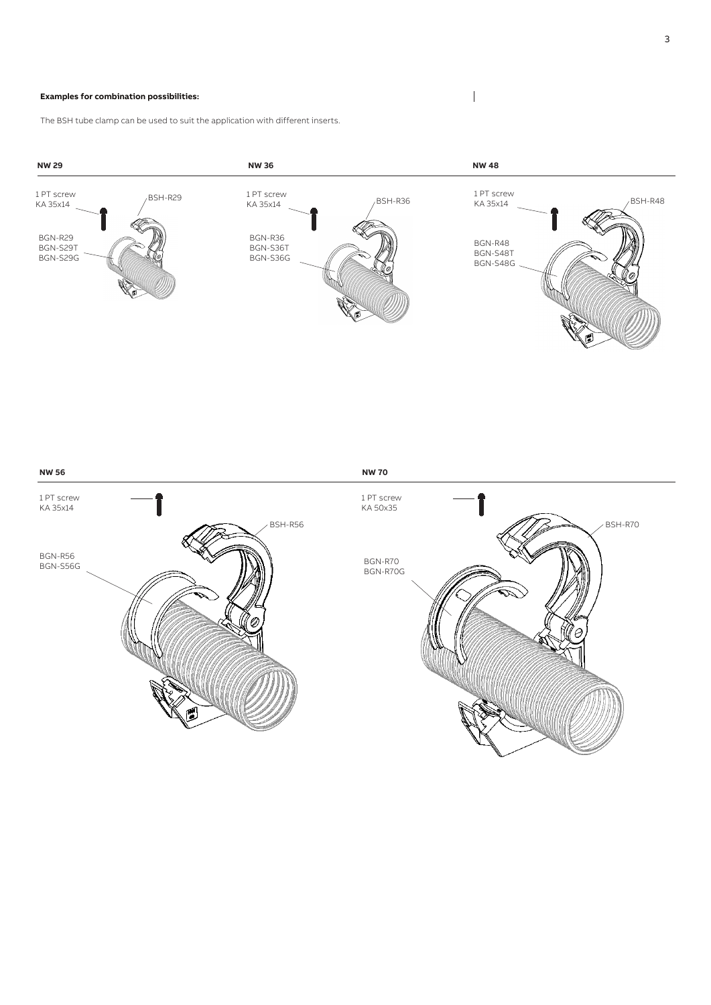#### **Examples for combination possibilities:**

The BSH tube clamp can be used to suit the application with different inserts.





 $\begin{array}{c} \hline \end{array}$